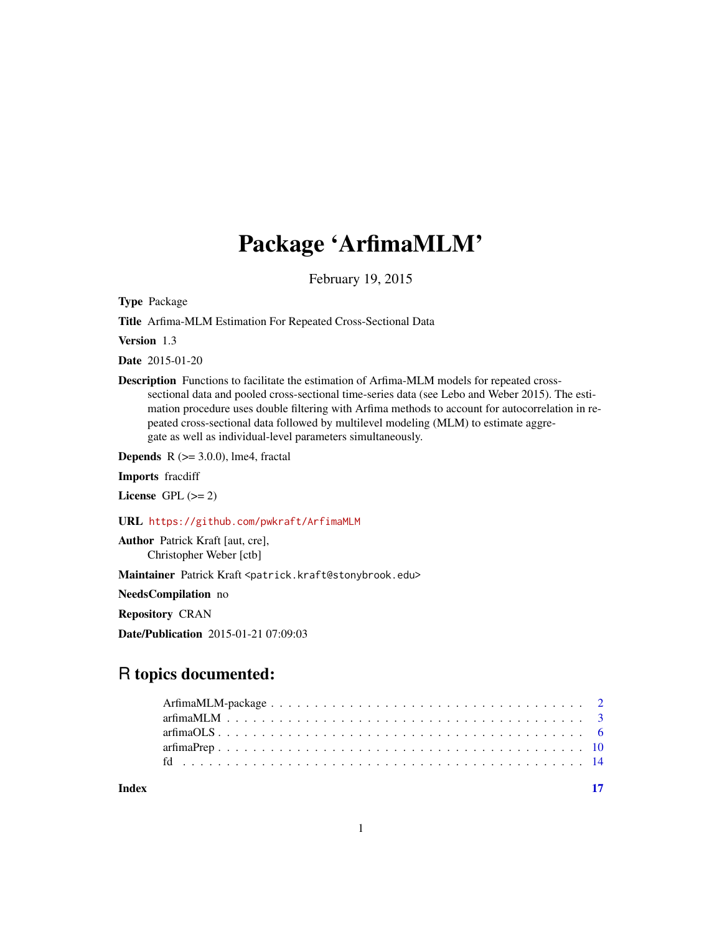## Package 'ArfimaMLM'

February 19, 2015

<span id="page-0-0"></span>Type Package

Title Arfima-MLM Estimation For Repeated Cross-Sectional Data

Version 1.3

Date 2015-01-20

Description Functions to facilitate the estimation of Arfima-MLM models for repeated crosssectional data and pooled cross-sectional time-series data (see Lebo and Weber 2015). The estimation procedure uses double filtering with Arfima methods to account for autocorrelation in repeated cross-sectional data followed by multilevel modeling (MLM) to estimate aggregate as well as individual-level parameters simultaneously.

**Depends** R  $(>= 3.0.0)$ , lme4, fractal

Imports fracdiff

License GPL  $(>= 2)$ 

URL <https://github.com/pwkraft/ArfimaMLM>

Author Patrick Kraft [aut, cre], Christopher Weber [ctb]

Maintainer Patrick Kraft <patrick.kraft@stonybrook.edu>

NeedsCompilation no

Repository CRAN

Date/Publication 2015-01-21 07:09:03

## R topics documented:

| Index |  |  |
|-------|--|--|
|       |  |  |
|       |  |  |
|       |  |  |
|       |  |  |
|       |  |  |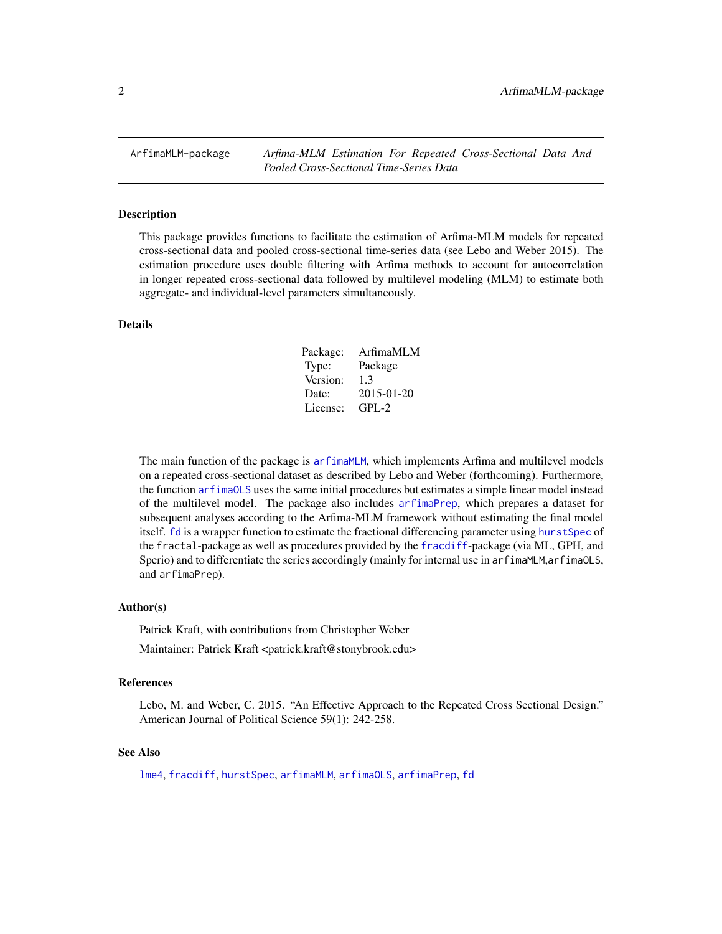<span id="page-1-0"></span>ArfimaMLM-package *Arfima-MLM Estimation For Repeated Cross-Sectional Data And Pooled Cross-Sectional Time-Series Data*

#### <span id="page-1-1"></span>**Description**

This package provides functions to facilitate the estimation of Arfima-MLM models for repeated cross-sectional data and pooled cross-sectional time-series data (see Lebo and Weber 2015). The estimation procedure uses double filtering with Arfima methods to account for autocorrelation in longer repeated cross-sectional data followed by multilevel modeling (MLM) to estimate both aggregate- and individual-level parameters simultaneously.

## Details

| Package: | ArfimaMLM  |
|----------|------------|
| Type:    | Package    |
| Version: | 1.3        |
| Date:    | 2015-01-20 |
| License: | GPL-2      |

The main function of the package is [arfimaMLM](#page-2-1), which implements Arfima and multilevel models on a repeated cross-sectional dataset as described by Lebo and Weber (forthcoming). Furthermore, the function [arfimaOLS](#page-5-1) uses the same initial procedures but estimates a simple linear model instead of the multilevel model. The package also includes [arfimaPrep](#page-9-1), which prepares a dataset for subsequent analyses according to the Arfima-MLM framework without estimating the final model itself. [fd](#page-13-1) is a wrapper function to estimate the fractional differencing parameter using [hurstSpec](#page-0-0) of the fractal-package as well as procedures provided by the [fracdiff](#page-0-0)-package (via ML, GPH, and Sperio) and to differentiate the series accordingly (mainly for internal use in arfimaMLM, arfimaOLS, and arfimaPrep).

#### Author(s)

Patrick Kraft, with contributions from Christopher Weber

Maintainer: Patrick Kraft <patrick.kraft@stonybrook.edu>

## References

Lebo, M. and Weber, C. 2015. "An Effective Approach to the Repeated Cross Sectional Design." American Journal of Political Science 59(1): 242-258.

## See Also

[lme4](#page-0-0), [fracdiff](#page-0-0), [hurstSpec](#page-0-0), [arfimaMLM](#page-2-1), [arfimaOLS](#page-5-1), [arfimaPrep](#page-9-1), [fd](#page-13-1)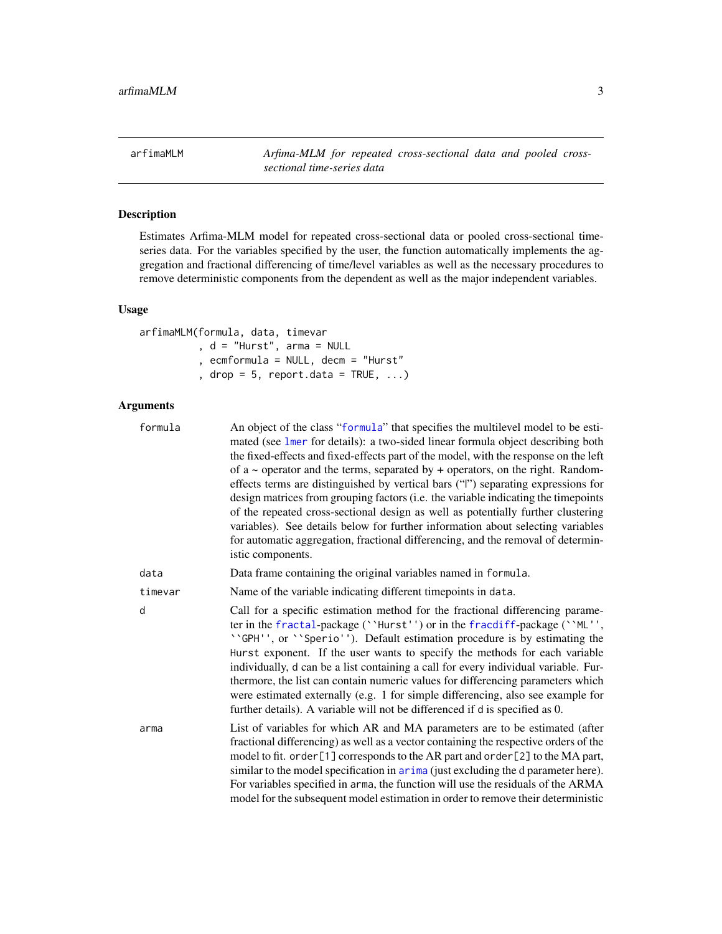<span id="page-2-1"></span><span id="page-2-0"></span>arfimaMLM *Arfima-MLM for repeated cross-sectional data and pooled crosssectional time-series data*

## Description

Estimates Arfima-MLM model for repeated cross-sectional data or pooled cross-sectional timeseries data. For the variables specified by the user, the function automatically implements the aggregation and fractional differencing of time/level variables as well as the necessary procedures to remove deterministic components from the dependent as well as the major independent variables.

## Usage

arfimaMLM(formula, data, timevar , d = "Hurst", arma = NULL , ecmformula = NULL, decm = "Hurst" , drop =  $5$ , report.data = TRUE, ...)

## Arguments

| formula | An object of the class "formula" that specifies the multilevel model to be esti-<br>mated (see lmer for details): a two-sided linear formula object describing both<br>the fixed-effects and fixed-effects part of the model, with the response on the left<br>of a $\sim$ operator and the terms, separated by $+$ operators, on the right. Random-<br>effects terms are distinguished by vertical bars ("I") separating expressions for<br>design matrices from grouping factors (i.e. the variable indicating the timepoints<br>of the repeated cross-sectional design as well as potentially further clustering<br>variables). See details below for further information about selecting variables<br>for automatic aggregation, fractional differencing, and the removal of determin-<br>istic components. |
|---------|-----------------------------------------------------------------------------------------------------------------------------------------------------------------------------------------------------------------------------------------------------------------------------------------------------------------------------------------------------------------------------------------------------------------------------------------------------------------------------------------------------------------------------------------------------------------------------------------------------------------------------------------------------------------------------------------------------------------------------------------------------------------------------------------------------------------|
| data    | Data frame containing the original variables named in formula.                                                                                                                                                                                                                                                                                                                                                                                                                                                                                                                                                                                                                                                                                                                                                  |
| timevar | Name of the variable indicating different timepoints in data.                                                                                                                                                                                                                                                                                                                                                                                                                                                                                                                                                                                                                                                                                                                                                   |
| d       | Call for a specific estimation method for the fractional differencing parame-<br>ter in the fractal-package (''Hurst'') or in the fracdiff-package (''ML'',<br>''GPH'', or ''Sperio''). Default estimation procedure is by estimating the<br>Hurst exponent. If the user wants to specify the methods for each variable<br>individually, d can be a list containing a call for every individual variable. Fur-<br>thermore, the list can contain numeric values for differencing parameters which<br>were estimated externally (e.g. 1 for simple differencing, also see example for<br>further details). A variable will not be differenced if d is specified as 0.                                                                                                                                            |
| arma    | List of variables for which AR and MA parameters are to be estimated (after<br>fractional differencing) as well as a vector containing the respective orders of the<br>model to fit. order [1] corresponds to the AR part and order [2] to the MA part,<br>similar to the model specification in arima (just excluding the d parameter here).<br>For variables specified in arma, the function will use the residuals of the ARMA<br>model for the subsequent model estimation in order to remove their deterministic                                                                                                                                                                                                                                                                                           |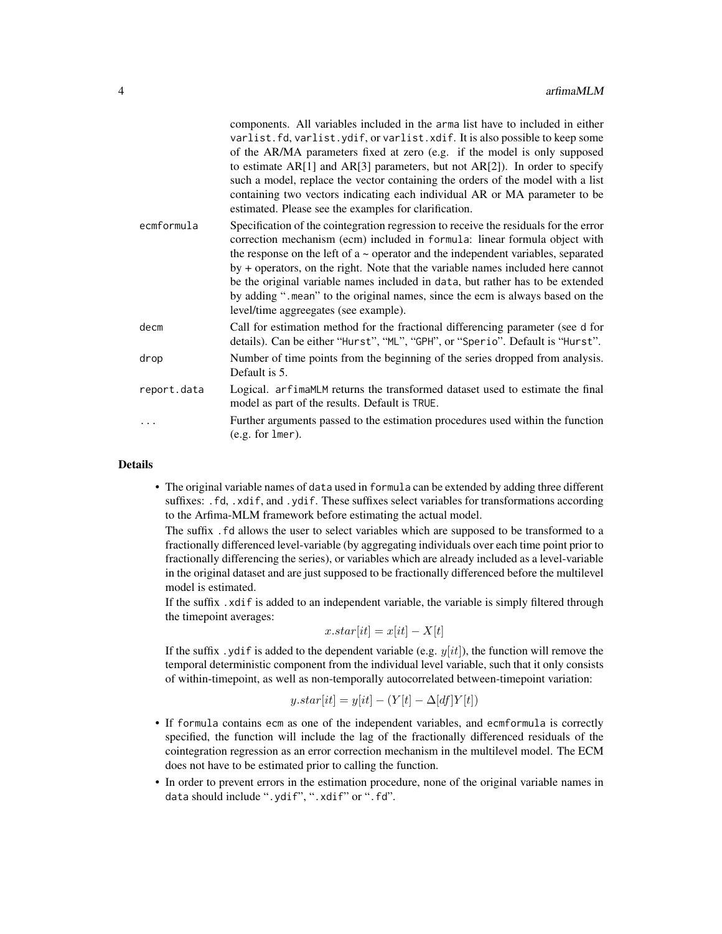|             | components. All variables included in the arma list have to included in either<br>varlist.fd, varlist.ydif, or varlist.xdif. It is also possible to keep some<br>of the AR/MA parameters fixed at zero (e.g. if the model is only supposed<br>to estimate $AR[1]$ and $AR[3]$ parameters, but not $AR[2]$ ). In order to specify<br>such a model, replace the vector containing the orders of the model with a list<br>containing two vectors indicating each individual AR or MA parameter to be<br>estimated. Please see the examples for clarification.   |
|-------------|--------------------------------------------------------------------------------------------------------------------------------------------------------------------------------------------------------------------------------------------------------------------------------------------------------------------------------------------------------------------------------------------------------------------------------------------------------------------------------------------------------------------------------------------------------------|
| ecmformula  | Specification of the cointegration regression to receive the residuals for the error<br>correction mechanism (ecm) included in formula: linear formula object with<br>the response on the left of $a \sim$ operator and the independent variables, separated<br>by + operators, on the right. Note that the variable names included here cannot<br>be the original variable names included in data, but rather has to be extended<br>by adding ". mean" to the original names, since the ecm is always based on the<br>level/time aggreegates (see example). |
| decm        | Call for estimation method for the fractional differencing parameter (see d for<br>details). Can be either "Hurst", "ML", "GPH", or "Sperio". Default is "Hurst".                                                                                                                                                                                                                                                                                                                                                                                            |
| drop        | Number of time points from the beginning of the series dropped from analysis.<br>Default is 5.                                                                                                                                                                                                                                                                                                                                                                                                                                                               |
| report.data | Logical. arfimam LM returns the transformed dataset used to estimate the final<br>model as part of the results. Default is TRUE.                                                                                                                                                                                                                                                                                                                                                                                                                             |
| .           | Further arguments passed to the estimation procedures used within the function<br>$(e.g. for lmer).$                                                                                                                                                                                                                                                                                                                                                                                                                                                         |
|             |                                                                                                                                                                                                                                                                                                                                                                                                                                                                                                                                                              |

#### Details

• The original variable names of data used in formula can be extended by adding three different suffixes: .fd, .xdif, and .ydif. These suffixes select variables for transformations according to the Arfima-MLM framework before estimating the actual model.

The suffix .fd allows the user to select variables which are supposed to be transformed to a fractionally differenced level-variable (by aggregating individuals over each time point prior to fractionally differencing the series), or variables which are already included as a level-variable in the original dataset and are just supposed to be fractionally differenced before the multilevel model is estimated.

If the suffix .xdif is added to an independent variable, the variable is simply filtered through the timepoint averages:

 $x.start[it] = x[it] - X[t]$ 

If the suffix yidif is added to the dependent variable (e.g.  $y(it)$ ), the function will remove the temporal deterministic component from the individual level variable, such that it only consists of within-timepoint, as well as non-temporally autocorrelated between-timepoint variation:

$$
y.start[i] = y[it] - (Y[t] - \Delta[df]Y[t])
$$

- If formula contains ecm as one of the independent variables, and ecmformula is correctly specified, the function will include the lag of the fractionally differenced residuals of the cointegration regression as an error correction mechanism in the multilevel model. The ECM does not have to be estimated prior to calling the function.
- In order to prevent errors in the estimation procedure, none of the original variable names in data should include ".ydif", ".xdif" or ".fd".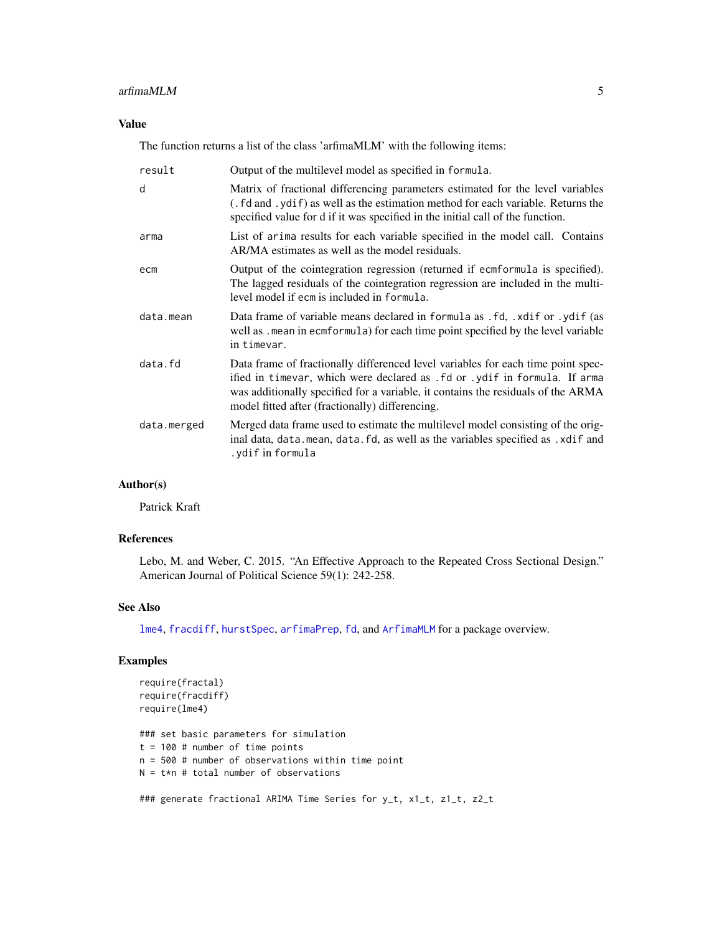#### <span id="page-4-0"></span>arfimaMLM 5

## Value

The function returns a list of the class 'arfimaMLM' with the following items:

| result      | Output of the multilevel model as specified in formula.                                                                                                                                                                                                                                              |
|-------------|------------------------------------------------------------------------------------------------------------------------------------------------------------------------------------------------------------------------------------------------------------------------------------------------------|
| d           | Matrix of fractional differencing parameters estimated for the level variables<br>(. fd and . ydif) as well as the estimation method for each variable. Returns the<br>specified value for d if it was specified in the initial call of the function.                                                |
| arma        | List of arima results for each variable specified in the model call. Contains<br>AR/MA estimates as well as the model residuals.                                                                                                                                                                     |
| ecm         | Output of the cointegration regression (returned if ecmformula is specified).<br>The lagged residuals of the cointegration regression are included in the multi-<br>level model if ecm is included in formula.                                                                                       |
| data.mean   | Data frame of variable means declared in formula as .fd, .xdif or .ydif (as<br>well as .mean in ecmformula) for each time point specified by the level variable<br>in timevar.                                                                                                                       |
| data.fd     | Data frame of fractionally differenced level variables for each time point spec-<br>ified in timevar, which were declared as .fd or .ydif in formula. If arma<br>was additionally specified for a variable, it contains the residuals of the ARMA<br>model fitted after (fractionally) differencing. |
| data.merged | Merged data frame used to estimate the multilevel model consisting of the orig-<br>inal data, data.mean, data.fd, as well as the variables specified as .xdif and<br>ydif in formula.                                                                                                                |

## Author(s)

Patrick Kraft

## References

Lebo, M. and Weber, C. 2015. "An Effective Approach to the Repeated Cross Sectional Design." American Journal of Political Science 59(1): 242-258.

#### See Also

[lme4](#page-0-0), [fracdiff](#page-0-0), [hurstSpec](#page-0-0), [arfimaPrep](#page-9-1), [fd](#page-13-1), and [ArfimaMLM](#page-1-1) for a package overview.

## Examples

```
require(fractal)
require(fracdiff)
require(lme4)
```
### set basic parameters for simulation  $t = 100$  # number of time points n = 500 # number of observations within time point  $N = t*n$  # total number of observations

### generate fractional ARIMA Time Series for y\_t, x1\_t, z1\_t, z2\_t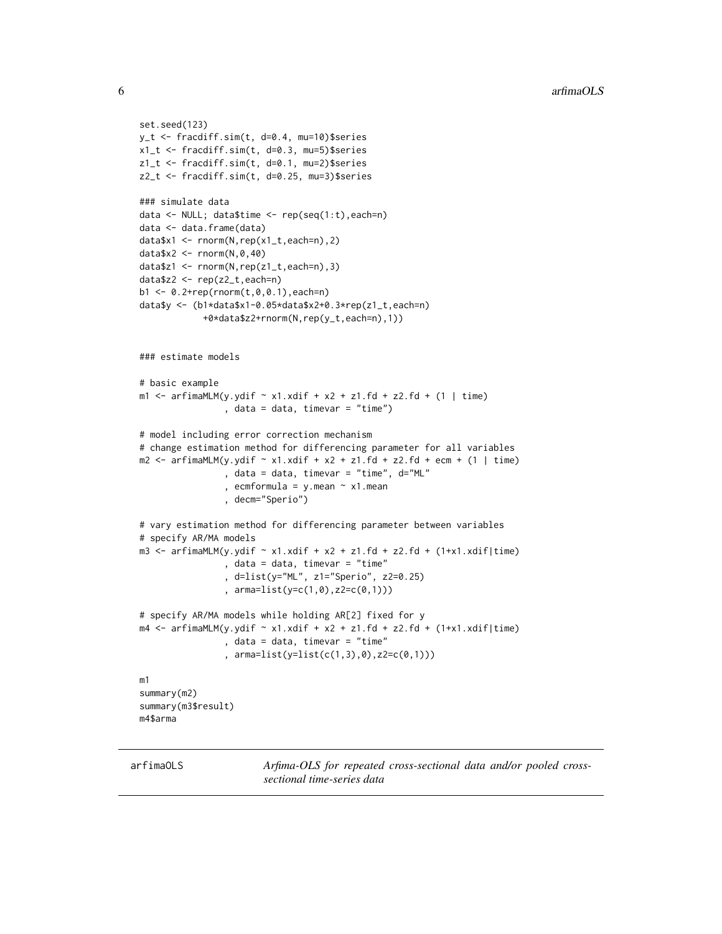```
set.seed(123)
y_t <- fracdiff.sim(t, d=0.4, mu=10)$series
x1_t <- fracdiff.sim(t, d=0.3, mu=5)$series
z1_t <- fracdiff.sim(t, d=0.1, mu=2)$series
z2_t <- fracdiff.sim(t, d=0.25, mu=3)$series
### simulate data
data <- NULL; data$time <- rep(seq(1:t),each=n)
data <- data.frame(data)
data$x1 <- rnorm(N,rep(x1_t,each=n),2)
data$x2 <- rnorm(N,0,40)
data$z1 <- rnorm(N,rep(z1_t,each=n),3)
data$z2 <- rep(z2_t,each=n)
b1 < -0.2 + rep(rnorm(t, 0, 0.1), each=n)data$y <- (b1*data$x1-0.05*data$x2+0.3*rep(z1_t,each=n)
            +0*data$z2+rnorm(N,rep(y_t,each=n),1))
### estimate models
# basic example
m1 \le - \text{arfinamLM}(y.ydif \sim x1.xdif + x2 + z1.fd + z2.fd + (1 \mid time)), data = data, timevar = "time")
# model including error correction mechanism
# change estimation method for differencing parameter for all variables
m2 \le - arfimaMLM(y.ydif \sim x1.xdiff + x2 + z1.fd + z2.fd + ecm + (1 \mid time), data = data, timevar = "time", d="ML"
                 , ecmformula = y.mean \sim x1.mean
                 , decm="Sperio")
# vary estimation method for differencing parameter between variables
# specify AR/MA models
m3 <- arfimaMLM(y.ydif ~ x1.xdif + x2 + z1.fd + z2.fd + (1+x1.xdif|time)
                , data = data, timevar = "time"
                 , d=list(y="ML", z1="Sperio", z2=0.25)
                , arma=list(y=c(1,0),z2=c(0,1)))
# specify AR/MA models while holding AR[2] fixed for y
m4 \le arfimaMLM(y.ydif \sim x1.xdif + x2 + z1.fd + z2.fd + (1+x1.xdif|time)
                 , data = data, timevar = "time"
                 , arma=list(y=list(c(1,3),0),z2=c(0,1)))
m1
summary(m2)
summary(m3$result)
m4$arma
```
<span id="page-5-1"></span>arfimaOLS *Arfima-OLS for repeated cross-sectional data and/or pooled crosssectional time-series data*

<span id="page-5-0"></span>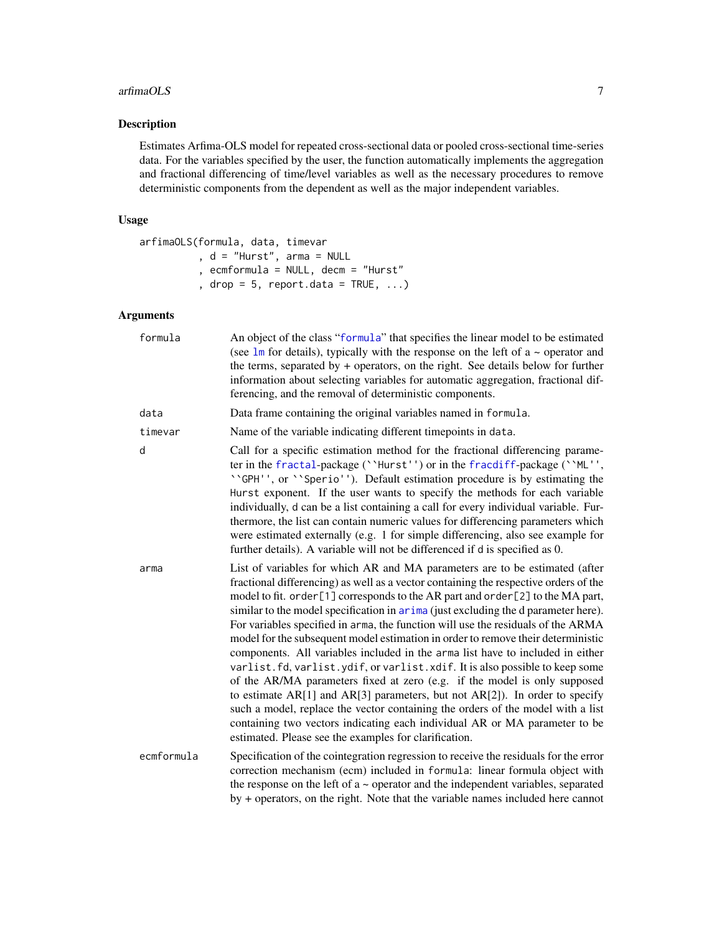#### <span id="page-6-0"></span>arfimaOLS 7

## Description

Estimates Arfima-OLS model for repeated cross-sectional data or pooled cross-sectional time-series data. For the variables specified by the user, the function automatically implements the aggregation and fractional differencing of time/level variables as well as the necessary procedures to remove deterministic components from the dependent as well as the major independent variables.

## Usage

```
arfimaOLS(formula, data, timevar
         , d = "Hurst", arma = NULL
         , ecmformula = NULL, decm = "Hurst"
          , drop = 5, report.data = TRUE, ...)
```
## Arguments

| formula    | An object of the class "formula" that specifies the linear model to be estimated<br>(see $\text{lm}$ for details), typically with the response on the left of a $\sim$ operator and<br>the terms, separated by + operators, on the right. See details below for further<br>information about selecting variables for automatic aggregation, fractional dif-<br>ferencing, and the removal of deterministic components.                                                                                                                                                                                                                                                                                                                                                                                                                                                                                                                                                                                                                                                              |
|------------|-------------------------------------------------------------------------------------------------------------------------------------------------------------------------------------------------------------------------------------------------------------------------------------------------------------------------------------------------------------------------------------------------------------------------------------------------------------------------------------------------------------------------------------------------------------------------------------------------------------------------------------------------------------------------------------------------------------------------------------------------------------------------------------------------------------------------------------------------------------------------------------------------------------------------------------------------------------------------------------------------------------------------------------------------------------------------------------|
| data       | Data frame containing the original variables named in formula.                                                                                                                                                                                                                                                                                                                                                                                                                                                                                                                                                                                                                                                                                                                                                                                                                                                                                                                                                                                                                      |
| timevar    | Name of the variable indicating different timepoints in data.                                                                                                                                                                                                                                                                                                                                                                                                                                                                                                                                                                                                                                                                                                                                                                                                                                                                                                                                                                                                                       |
| d          | Call for a specific estimation method for the fractional differencing parame-<br>ter in the fractal-package (''Hurst'') or in the fracdiff-package (''ML'',<br>''GPH'', or ''Sperio''). Default estimation procedure is by estimating the<br>Hurst exponent. If the user wants to specify the methods for each variable<br>individually, d can be a list containing a call for every individual variable. Fur-<br>thermore, the list can contain numeric values for differencing parameters which<br>were estimated externally (e.g. 1 for simple differencing, also see example for<br>further details). A variable will not be differenced if d is specified as 0.                                                                                                                                                                                                                                                                                                                                                                                                                |
| arma       | List of variables for which AR and MA parameters are to be estimated (after<br>fractional differencing) as well as a vector containing the respective orders of the<br>model to fit. order [1] corresponds to the AR part and order [2] to the MA part,<br>similar to the model specification in arima (just excluding the d parameter here).<br>For variables specified in arma, the function will use the residuals of the ARMA<br>model for the subsequent model estimation in order to remove their deterministic<br>components. All variables included in the arma list have to included in either<br>varlist.fd, varlist.ydif, or varlist.xdif. It is also possible to keep some<br>of the AR/MA parameters fixed at zero (e.g. if the model is only supposed<br>to estimate $AR[1]$ and $AR[3]$ parameters, but not $AR[2]$ ). In order to specify<br>such a model, replace the vector containing the orders of the model with a list<br>containing two vectors indicating each individual AR or MA parameter to be<br>estimated. Please see the examples for clarification. |
| ecmformula | Specification of the cointegration regression to receive the residuals for the error<br>correction mechanism (ecm) included in formula: linear formula object with<br>the response on the left of $a \sim$ operator and the independent variables, separated<br>by + operators, on the right. Note that the variable names included here cannot                                                                                                                                                                                                                                                                                                                                                                                                                                                                                                                                                                                                                                                                                                                                     |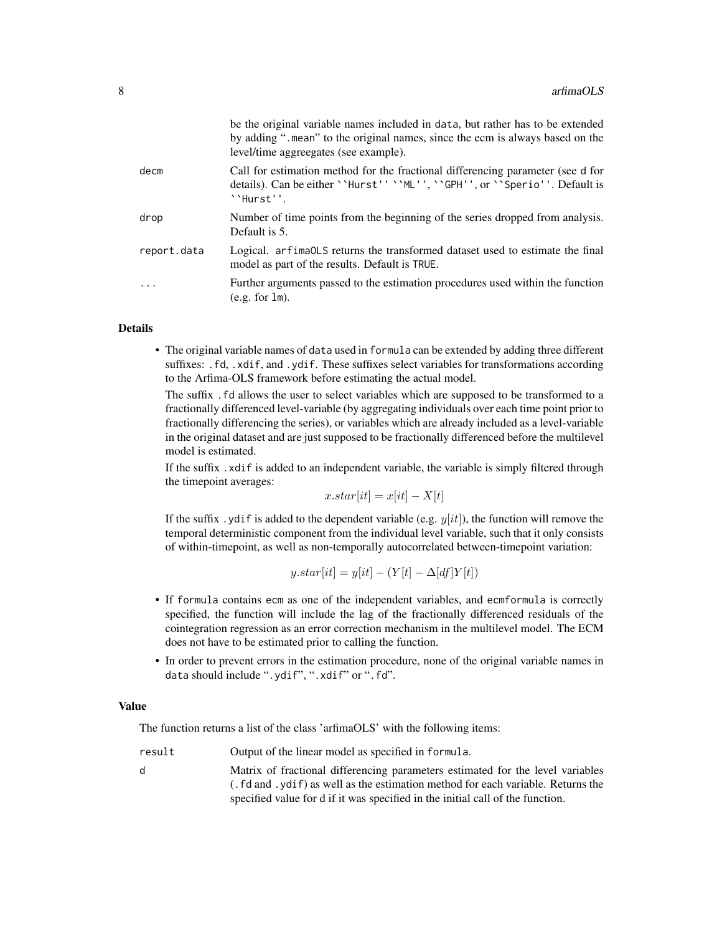|             | be the original variable names included in data, but rather has to be extended<br>by adding " mean" to the original names, since the ecm is always based on the<br>level/time aggreegates (see example). |
|-------------|----------------------------------------------------------------------------------------------------------------------------------------------------------------------------------------------------------|
| decm        | Call for estimation method for the fractional differencing parameter (see d for<br>details). Can be either ``Hurst'' ``ML'', ``GPH'', or ``Sperio''. Default is<br>``Hurst''.                            |
| drop        | Number of time points from the beginning of the series dropped from analysis.<br>Default is 5.                                                                                                           |
| report.data | Logical. arfima0LS returns the transformed dataset used to estimate the final<br>model as part of the results. Default is TRUE.                                                                          |
| .           | Further arguments passed to the estimation procedures used within the function<br>$(e.g. for 1m)$ .                                                                                                      |
|             |                                                                                                                                                                                                          |

#### **Details**

• The original variable names of data used in formula can be extended by adding three different suffixes: .fd, .xdif, and .ydif. These suffixes select variables for transformations according to the Arfima-OLS framework before estimating the actual model.

The suffix .fd allows the user to select variables which are supposed to be transformed to a fractionally differenced level-variable (by aggregating individuals over each time point prior to fractionally differencing the series), or variables which are already included as a level-variable in the original dataset and are just supposed to be fractionally differenced before the multilevel model is estimated.

If the suffix .xdif is added to an independent variable, the variable is simply filtered through the timepoint averages:

 $x.start[it] = x[it] - X[t]$ 

If the suffix yidif is added to the dependent variable (e.g.  $y(it)$ ), the function will remove the temporal deterministic component from the individual level variable, such that it only consists of within-timepoint, as well as non-temporally autocorrelated between-timepoint variation:

$$
y.start[it] = y[it] - (Y[t] - \Delta[df]Y[t])
$$

- If formula contains ecm as one of the independent variables, and ecmformula is correctly specified, the function will include the lag of the fractionally differenced residuals of the cointegration regression as an error correction mechanism in the multilevel model. The ECM does not have to be estimated prior to calling the function.
- In order to prevent errors in the estimation procedure, none of the original variable names in data should include ".ydif", ".xdif" or ".fd".

#### Value

The function returns a list of the class 'arfimaOLS' with the following items:

result **Output of the linear model as specified in formula.** 

d Matrix of fractional differencing parameters estimated for the level variables (.fd and .ydif) as well as the estimation method for each variable. Returns the specified value for d if it was specified in the initial call of the function.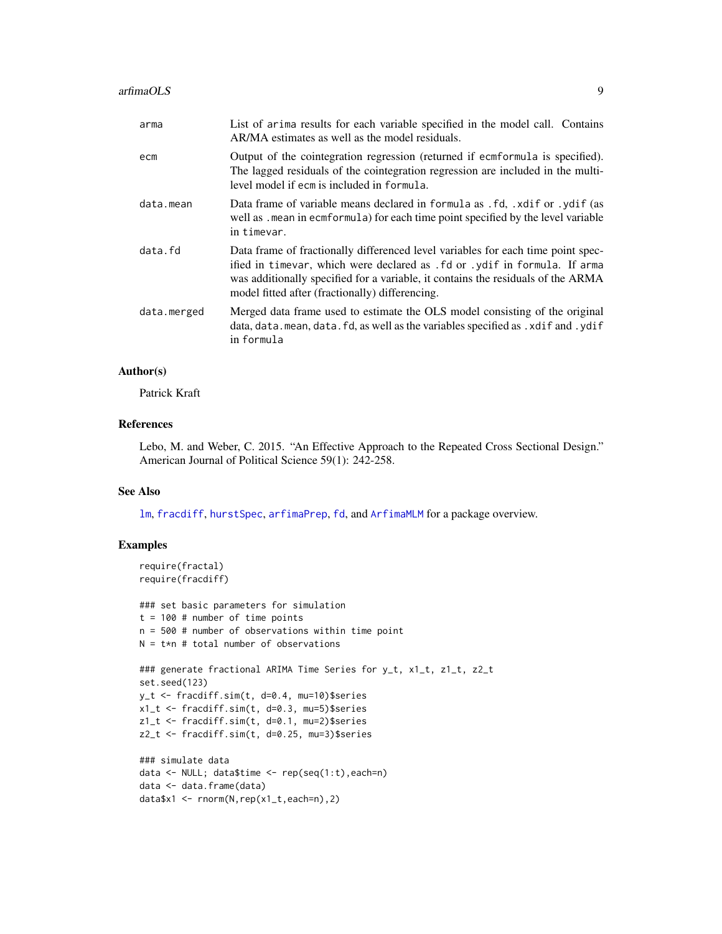<span id="page-8-0"></span>

| arma        | List of arima results for each variable specified in the model call. Contains<br>AR/MA estimates as well as the model residuals.                                                                                                                                                                     |
|-------------|------------------------------------------------------------------------------------------------------------------------------------------------------------------------------------------------------------------------------------------------------------------------------------------------------|
| ecm         | Output of the cointegration regression (returned if ecmformula is specified).<br>The lagged residuals of the cointegration regression are included in the multi-<br>level model if ecm is included in formula.                                                                                       |
| data.mean   | Data frame of variable means declared in formula as .fd, .xdif or .ydif (as<br>well as . mean in ecmformula) for each time point specified by the level variable<br>in timevar.                                                                                                                      |
| data.fd     | Data frame of fractionally differenced level variables for each time point spec-<br>ified in timevar, which were declared as .fd or .ydif in formula. If arma<br>was additionally specified for a variable, it contains the residuals of the ARMA<br>model fitted after (fractionally) differencing. |
| data.merged | Merged data frame used to estimate the OLS model consisting of the original<br>data, data mean, data fd, as well as the variables specified as . xdif and . ydif<br>in formula                                                                                                                       |

## Author(s)

Patrick Kraft

## References

Lebo, M. and Weber, C. 2015. "An Effective Approach to the Repeated Cross Sectional Design." American Journal of Political Science 59(1): 242-258.

#### See Also

[lm](#page-0-0), [fracdiff](#page-0-0), [hurstSpec](#page-0-0), [arfimaPrep](#page-9-1), [fd](#page-13-1), and [ArfimaMLM](#page-1-1) for a package overview.

## Examples

```
require(fractal)
require(fracdiff)
### set basic parameters for simulation
t = 100 # number of time points
n = 500 # number of observations within time point
N = t*n # total number of observations
### generate fractional ARIMA Time Series for y_t, x1_t, z1_t, z2_t
set.seed(123)
y_t <- fracdiff.sim(t, d=0.4, mu=10)$series
x1_t <- fracdiff.sim(t, d=0.3, mu=5)$series
z1_t <- fracdiff.sim(t, d=0.1, mu=2)$series
z2_t <- fracdiff.sim(t, d=0.25, mu=3)$series
### simulate data
data <- NULL; data$time <- rep(seq(1:t),each=n)
data <- data.frame(data)
data$x1 <- rnorm(N,rep(x1_t,each=n),2)
```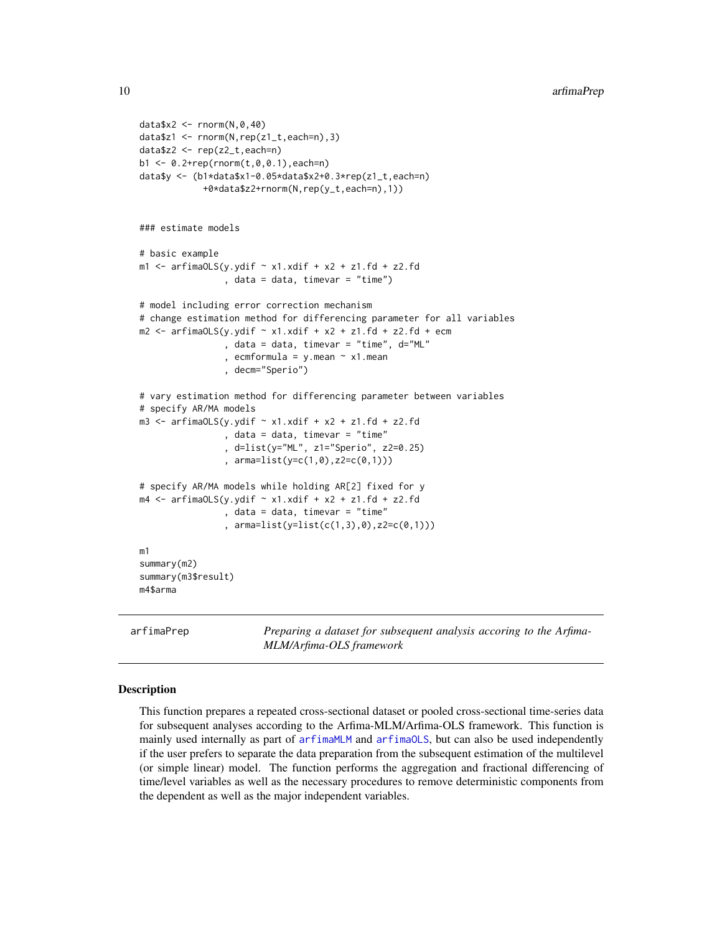```
data$x2 <- rnorm(N,0,40)
data$z1 <- rnorm(N,rep(z1_t,each=n),3)
data$z2 <- rep(z2_t,each=n)
b1 \leq -0.2 + rep(rnorm(t, 0, 0.1), each=n)data$y <- (b1*data$x1-0.05*data$x2+0.3*rep(z1_t,each=n)
            +0*data$z2+rnorm(N,rep(y_t,each=n),1))
### estimate models
# basic example
m1 <- arfimaOLS(y.ydif \sim x1.xdif + x2 + z1.fd + z2.fd
                 , data = data, timevar = "time")
# model including error correction mechanism
# change estimation method for differencing parameter for all variables
m2 \le -\arfinaOLS(y.ydif \sim x1.xdif + x2 + z1.fd + z2.fd + ecm, data = data, timevar = "time", d="ML"
                , ecmformula = y.mean \sim x1.mean
                , decm="Sperio")
# vary estimation method for differencing parameter between variables
# specify AR/MA models
m3 <- arfimaOLS(y.ydif \sim x1.xdif + x2 + z1.fd + z2.fd
                 , data = data, timevar = "time"
                 , d=list(y="ML", z1="Sperio", z2=0.25)
                , arma=list(y=c(1,0),z2=c(0,1)))
# specify AR/MA models while holding AR[2] fixed for y
m4 \le arfimaOLS(y.ydif \sim x1.xdif + x2 + z1.fd + z2.fd
                , data = data, timevar = "time"
                 , arma=list(y=list(c(1,3),0),z2=c(0,1)))
m1
summary(m2)
summary(m3$result)
m4$arma
```
<span id="page-9-1"></span>arfimaPrep *Preparing a dataset for subsequent analysis accoring to the Arfima-MLM/Arfima-OLS framework*

#### Description

This function prepares a repeated cross-sectional dataset or pooled cross-sectional time-series data for subsequent analyses according to the Arfima-MLM/Arfima-OLS framework. This function is mainly used internally as part of [arfimaMLM](#page-2-1) and [arfimaOLS](#page-5-1), but can also be used independently if the user prefers to separate the data preparation from the subsequent estimation of the multilevel (or simple linear) model. The function performs the aggregation and fractional differencing of time/level variables as well as the necessary procedures to remove deterministic components from the dependent as well as the major independent variables.

<span id="page-9-0"></span>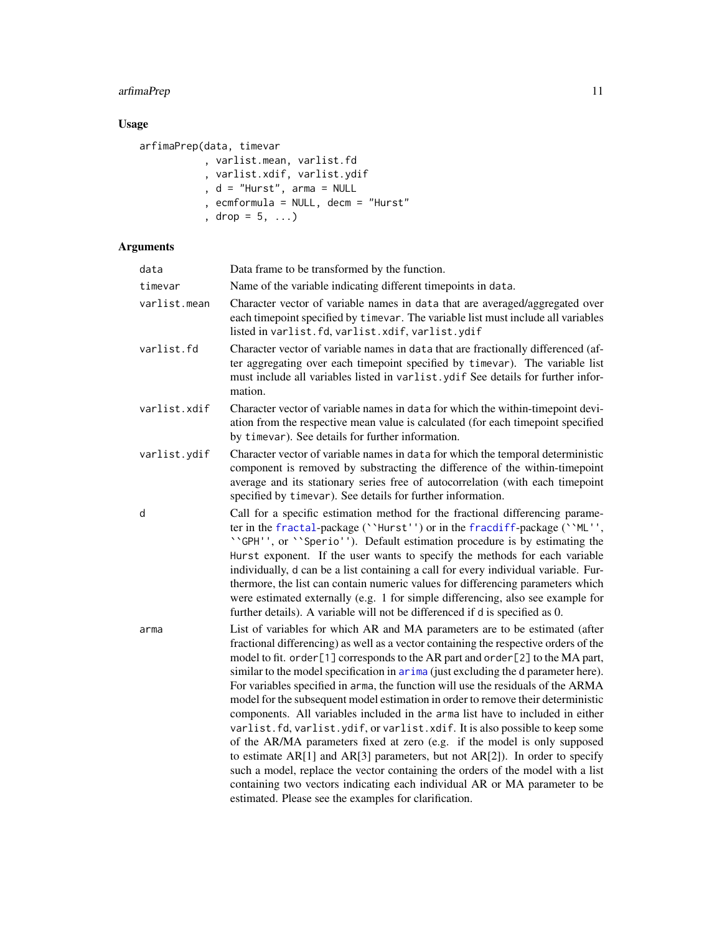## <span id="page-10-0"></span>arfimaPrep 11

## Usage

```
arfimaPrep(data, timevar
          , varlist.mean, varlist.fd
           , varlist.xdif, varlist.ydif
           , d = "Hurst", arma = NULL
           , ecmformula = NULL, decm = "Hurst"
           , drop = 5, ...)
```
## Arguments

| data         | Data frame to be transformed by the function.                                                                                                                                                                                                                                                                                                                                                                                                                                                                                                                                                                                                                                                                                                                                                                                                                                                                                                                                                                                                                                |
|--------------|------------------------------------------------------------------------------------------------------------------------------------------------------------------------------------------------------------------------------------------------------------------------------------------------------------------------------------------------------------------------------------------------------------------------------------------------------------------------------------------------------------------------------------------------------------------------------------------------------------------------------------------------------------------------------------------------------------------------------------------------------------------------------------------------------------------------------------------------------------------------------------------------------------------------------------------------------------------------------------------------------------------------------------------------------------------------------|
| timevar      | Name of the variable indicating different timepoints in data.                                                                                                                                                                                                                                                                                                                                                                                                                                                                                                                                                                                                                                                                                                                                                                                                                                                                                                                                                                                                                |
| varlist.mean | Character vector of variable names in data that are averaged/aggregated over<br>each timepoint specified by timevar. The variable list must include all variables<br>listed in varlist.fd, varlist.xdif, varlist.ydif                                                                                                                                                                                                                                                                                                                                                                                                                                                                                                                                                                                                                                                                                                                                                                                                                                                        |
| varlist.fd   | Character vector of variable names in data that are fractionally differenced (af-<br>ter aggregating over each timepoint specified by timevar). The variable list<br>must include all variables listed in varlist.ydif See details for further infor-<br>mation.                                                                                                                                                                                                                                                                                                                                                                                                                                                                                                                                                                                                                                                                                                                                                                                                             |
| varlist.xdif | Character vector of variable names in data for which the within-timepoint devi-<br>ation from the respective mean value is calculated (for each timepoint specified<br>by timevar). See details for further information.                                                                                                                                                                                                                                                                                                                                                                                                                                                                                                                                                                                                                                                                                                                                                                                                                                                     |
| varlist.ydif | Character vector of variable names in data for which the temporal deterministic<br>component is removed by substracting the difference of the within-timepoint<br>average and its stationary series free of autocorrelation (with each timepoint<br>specified by timevar). See details for further information.                                                                                                                                                                                                                                                                                                                                                                                                                                                                                                                                                                                                                                                                                                                                                              |
| d            | Call for a specific estimation method for the fractional differencing parame-<br>ter in the fractal-package (''Hurst'') or in the fracdiff-package (''ML'',<br>''GPH'', or ''Sperio''). Default estimation procedure is by estimating the<br>Hurst exponent. If the user wants to specify the methods for each variable<br>individually, d can be a list containing a call for every individual variable. Fur-<br>thermore, the list can contain numeric values for differencing parameters which<br>were estimated externally (e.g. 1 for simple differencing, also see example for<br>further details). A variable will not be differenced if d is specified as 0.                                                                                                                                                                                                                                                                                                                                                                                                         |
| arma         | List of variables for which AR and MA parameters are to be estimated (after<br>fractional differencing) as well as a vector containing the respective orders of the<br>model to fit. order [1] corresponds to the AR part and order [2] to the MA part,<br>similar to the model specification in arima (just excluding the d parameter here).<br>For variables specified in arma, the function will use the residuals of the ARMA<br>model for the subsequent model estimation in order to remove their deterministic<br>components. All variables included in the arma list have to included in either<br>varlist.fd, varlist.ydif, or varlist.xdif. It is also possible to keep some<br>of the AR/MA parameters fixed at zero (e.g. if the model is only supposed<br>to estimate AR[1] and AR[3] parameters, but not AR[2]). In order to specify<br>such a model, replace the vector containing the orders of the model with a list<br>containing two vectors indicating each individual AR or MA parameter to be<br>estimated. Please see the examples for clarification. |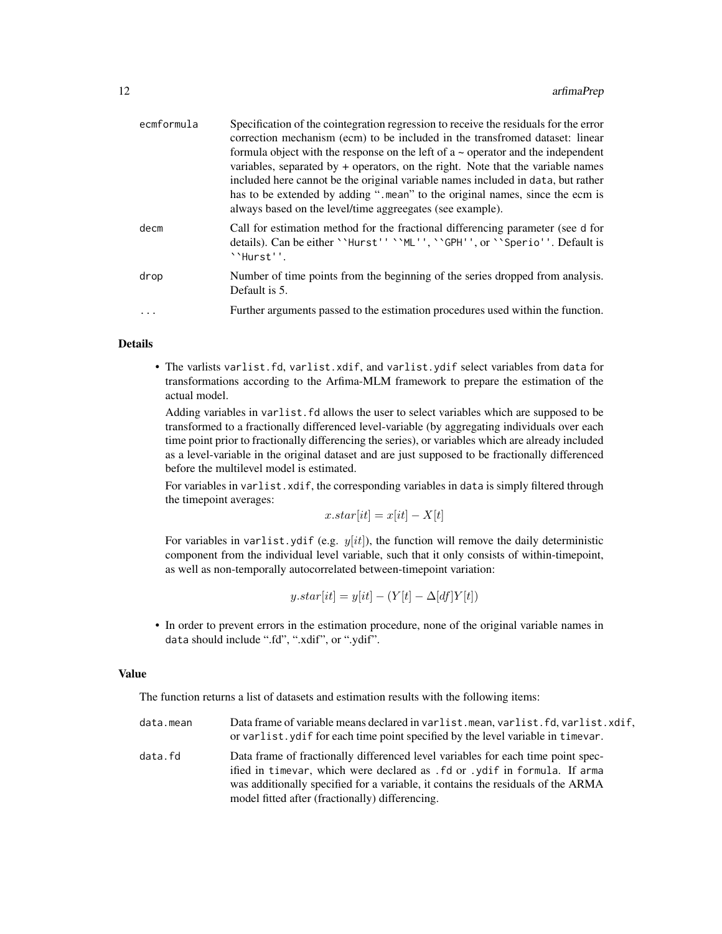| ecmformula | Specification of the cointegration regression to receive the residuals for the error<br>correction mechanism (ecm) to be included in the transfromed dataset: linear<br>formula object with the response on the left of $a \sim$ operator and the independent<br>variables, separated by $+$ operators, on the right. Note that the variable names<br>included here cannot be the original variable names included in data, but rather<br>has to be extended by adding ". mean" to the original names, since the ecm is<br>always based on the level/time aggreegates (see example). |
|------------|--------------------------------------------------------------------------------------------------------------------------------------------------------------------------------------------------------------------------------------------------------------------------------------------------------------------------------------------------------------------------------------------------------------------------------------------------------------------------------------------------------------------------------------------------------------------------------------|
| decm       | Call for estimation method for the fractional differencing parameter (see d for<br>details). Can be either ``Hurst'' ``ML'', ``GPH'', or ``Sperio''. Default is<br>``Hurst''.                                                                                                                                                                                                                                                                                                                                                                                                        |
| drop       | Number of time points from the beginning of the series dropped from analysis.<br>Default is 5.                                                                                                                                                                                                                                                                                                                                                                                                                                                                                       |
| .          | Further arguments passed to the estimation procedures used within the function.                                                                                                                                                                                                                                                                                                                                                                                                                                                                                                      |

#### Details

• The varlists varlist.fd, varlist.xdif, and varlist.ydif select variables from data for transformations according to the Arfima-MLM framework to prepare the estimation of the actual model.

Adding variables in varlist.fd allows the user to select variables which are supposed to be transformed to a fractionally differenced level-variable (by aggregating individuals over each time point prior to fractionally differencing the series), or variables which are already included as a level-variable in the original dataset and are just supposed to be fractionally differenced before the multilevel model is estimated.

For variables in varlist.xdif, the corresponding variables in data is simply filtered through the timepoint averages:

 $x.start[it] = x[it] - X[t]$ 

For variables in varlist.ydif (e.g.  $y(it$ ), the function will remove the daily deterministic component from the individual level variable, such that it only consists of within-timepoint, as well as non-temporally autocorrelated between-timepoint variation:

$$
y.start[i] = y[it] - (Y[t] - \Delta[df]Y[t])
$$

• In order to prevent errors in the estimation procedure, none of the original variable names in data should include ".fd", ".xdif", or ".ydif".

#### Value

The function returns a list of datasets and estimation results with the following items:

data.mean Data frame of variable means declared in varlist.mean, varlist.fd, varlist.xdif, or varlist.ydif for each time point specified by the level variable in timevar. data.fd Data frame of fractionally differenced level variables for each time point specified in timevar, which were declared as .fd or .ydif in formula. If arma was additionally specified for a variable, it contains the residuals of the ARMA model fitted after (fractionally) differencing.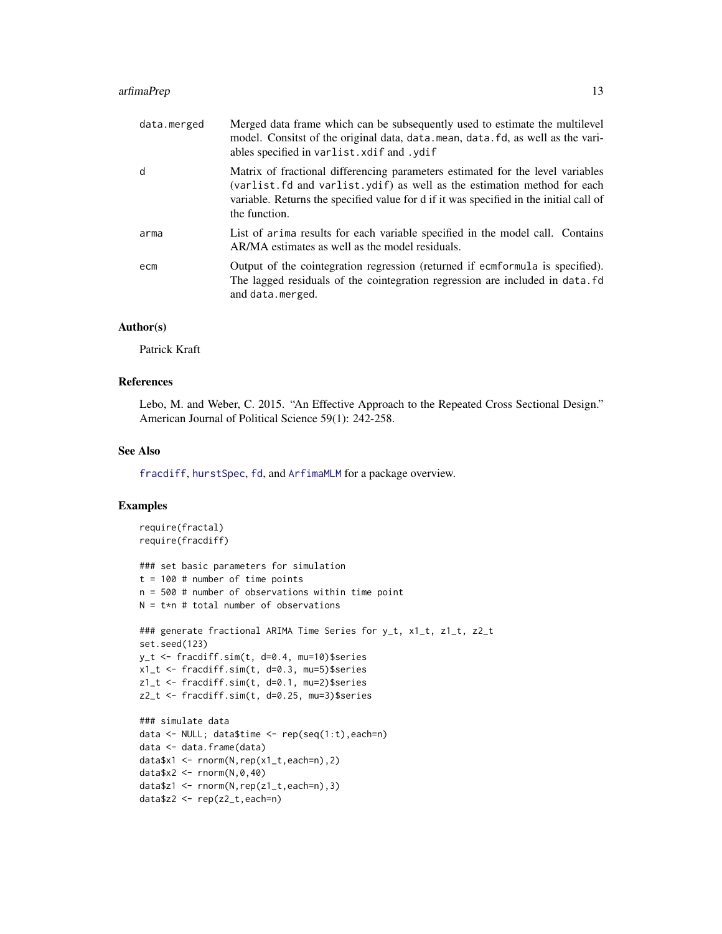#### <span id="page-12-0"></span>arfimaPrep 2012 and 2012 and 2012 and 2012 and 2012 and 2012 and 2012 and 2012 and 2012 and 2012 and 2012 and 2013 and 2012 and 2012 and 2012 and 2012 and 2012 and 2012 and 2012 and 2012 and 2012 and 2012 and 2012 and 2012

| data.merged | Merged data frame which can be subsequently used to estimate the multilevel<br>model. Consitst of the original data, data. mean, data. fd, as well as the vari-<br>ables specified in varlist. xdif and . ydif                                                       |
|-------------|----------------------------------------------------------------------------------------------------------------------------------------------------------------------------------------------------------------------------------------------------------------------|
| d           | Matrix of fractional differencing parameters estimated for the level variables<br>(varlist.fd and varlist.ydif) as well as the estimation method for each<br>variable. Returns the specified value for d if it was specified in the initial call of<br>the function. |
| arma        | List of arima results for each variable specified in the model call. Contains<br>AR/MA estimates as well as the model residuals.                                                                                                                                     |
| ecm         | Output of the cointegration regression (returned if ecmformula is specified).<br>The lagged residuals of the cointegration regression are included in data. Fd<br>and data.merged.                                                                                   |

#### Author(s)

Patrick Kraft

## References

Lebo, M. and Weber, C. 2015. "An Effective Approach to the Repeated Cross Sectional Design." American Journal of Political Science 59(1): 242-258.

#### See Also

[fracdiff](#page-0-0), [hurstSpec](#page-0-0), [fd](#page-13-1), and [ArfimaMLM](#page-1-1) for a package overview.

## Examples

```
require(fractal)
require(fracdiff)
### set basic parameters for simulation
t = 100 # number of time points
n = 500 # number of observations within time point
N = t*n # total number of observations
### generate fractional ARIMA Time Series for y_t, x1_t, z1_t, z2_t
set.seed(123)
y_t <- fracdiff.sim(t, d=0.4, mu=10)$series
x1_t <- fracdiff.sim(t, d=0.3, mu=5)$series
z1_t <- fracdiff.sim(t, d=0.1, mu=2)$series
z2_t <- fracdiff.sim(t, d=0.25, mu=3)$series
### simulate data
data <- NULL; data$time <- rep(seq(1:t),each=n)
data <- data.frame(data)
data$x1 <- rnorm(N,rep(x1_t,each=n),2)
data$x2 <- rnorm(N,0,40)
data$z1 <- rnorm(N,rep(z1_t,each=n),3)
data$z2 <- rep(z2_t,each=n)
```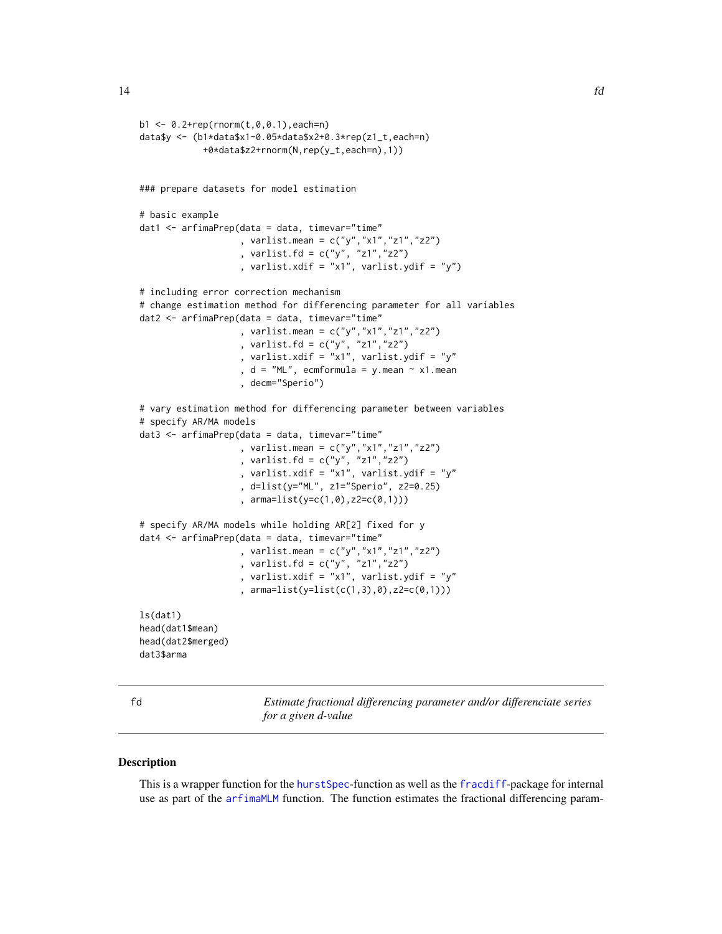```
b1 < -0.2 + rep(rnorm(t, 0, 0.1), each=n)data$y <- (b1*data$x1-0.05*data$x2+0.3*rep(z1_t,each=n)
            +0*data$z2+rnorm(N,rep(y_t,each=n),1))
### prepare datasets for model estimation
# basic example
dat1 < -arfinaPrep(data = data, timevar="time", varlist.mean = c("y","x1","z1","z2")
                   , varlist.fd = c("y", "z1", "z2"), varlist.xdif = "x1", varlist.ydif = "y")
# including error correction mechanism
# change estimation method for differencing parameter for all variables
dat2 <- arfimaPrep(data = data, timevar="time"
                   , varlist.mean = c("y","x1","z1","z2")
                   , varlist.fd = c("y", "z1","z2")
                   , varlist.xdif = "x1", varlist.ydif = "y"
                   , d = "ML", ecmformula = y.mean \sim x1.mean
                   , decm="Sperio")
# vary estimation method for differencing parameter between variables
# specify AR/MA models
dat3 <- arfimaPrep(data = data, timevar="time"
                   , varlist.mean = c("y","x1","z1","z2")
                   , varlist.fd = c("y", "z1","z2")
                   , varlist.xdif = "x1", varlist.ydif = "y"
                   , d=list(y="ML", z1="Sperio", z2=0.25)
                   , arma=list(y=c(1,0),z2=c(0,1)))
# specify AR/MA models while holding AR[2] fixed for y
dat4 <- arfimaPrep(data = data, timevar="time"
                   , varlist.mean = c("y","x1","z1","z2")
                   , varlist.fd = c("y", "z1","z2")
                   , varlist.xdif = "x1", varlist.ydif = "y"
                   , arma=list(y=list(c(1,3),0),z2=c(0,1)))
ls(dat1)
head(dat1$mean)
head(dat2$merged)
dat3$arma
```
<span id="page-13-1"></span>

fd *Estimate fractional differencing parameter and/or differenciate series for a given d-value*

#### Description

This is a wrapper function for the [hurstSpec](#page-0-0)-function as well as the [fracdiff](#page-0-0)-package for internal use as part of the [arfimaMLM](#page-2-1) function. The function estimates the fractional differencing param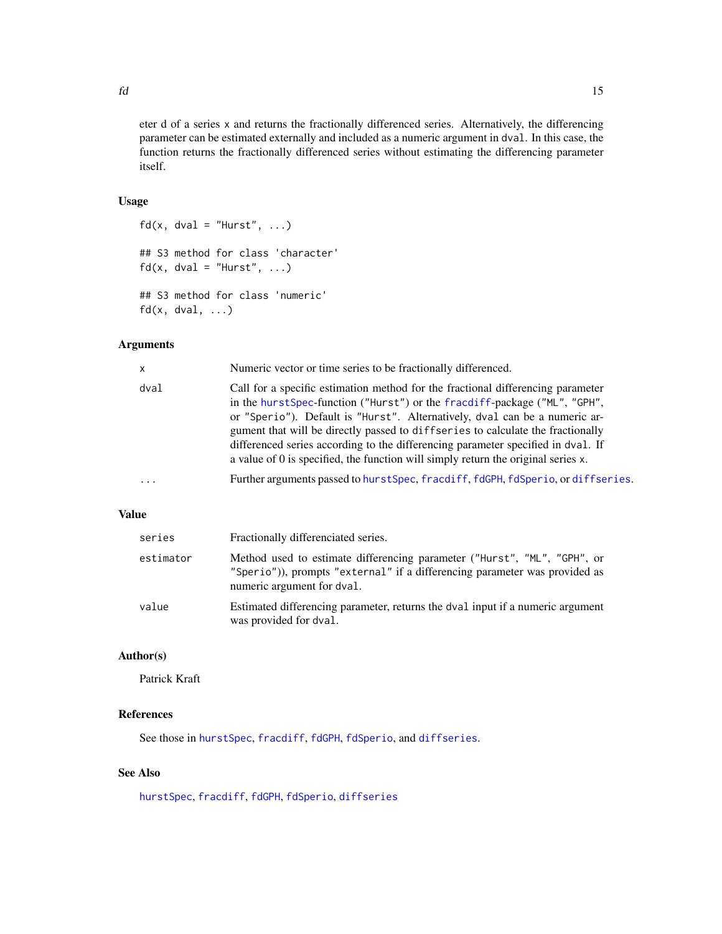<span id="page-14-0"></span>eter d of a series x and returns the fractionally differenced series. Alternatively, the differencing parameter can be estimated externally and included as a numeric argument in dval. In this case, the function returns the fractionally differenced series without estimating the differencing parameter itself.

## Usage

```
fd(x, dval = "Hurst", ...)## S3 method for class 'character'
fd(x, dval = "Hurst", ...)## S3 method for class 'numeric'
fd(x, dval, ...)
```
## Arguments

| $\mathsf{x}$            | Numeric vector or time series to be fractionally differenced.                                                                                                                                                                                                                                                                                                                                                                                                                                           |
|-------------------------|---------------------------------------------------------------------------------------------------------------------------------------------------------------------------------------------------------------------------------------------------------------------------------------------------------------------------------------------------------------------------------------------------------------------------------------------------------------------------------------------------------|
| dval                    | Call for a specific estimation method for the fractional differencing parameter<br>in the hurst Spec-function ("Hurst") or the fracdiff-package ("ML", "GPH",<br>or "Sperio"). Default is "Hurst". Alternatively, dval can be a numeric ar-<br>gument that will be directly passed to diffseries to calculate the fractionally<br>differenced series according to the differencing parameter specified in dval. If<br>a value of 0 is specified, the function will simply return the original series x. |
| $\cdot$ $\cdot$ $\cdot$ | Further arguments passed to hurstSpec, fracdiff, fdGPH, fdSperio, or diffseries.                                                                                                                                                                                                                                                                                                                                                                                                                        |
|                         |                                                                                                                                                                                                                                                                                                                                                                                                                                                                                                         |

## Value

| series    | Fractionally differenciated series.                                                                                                                                                  |
|-----------|--------------------------------------------------------------------------------------------------------------------------------------------------------------------------------------|
| estimator | Method used to estimate differencing parameter ("Hurst", "ML", "GPH", or<br>"Sperio")), prompts "external" if a differencing parameter was provided as<br>numeric argument for dval. |
| value     | Estimated differencing parameter, returns the dval input if a numeric argument<br>was provided for dval.                                                                             |

## Author(s)

Patrick Kraft

## References

See those in [hurstSpec](#page-0-0), [fracdiff](#page-0-0), [fdGPH](#page-0-0), [fdSperio](#page-0-0), and [diffseries](#page-0-0).

## See Also

[hurstSpec](#page-0-0), [fracdiff](#page-0-0), [fdGPH](#page-0-0), [fdSperio](#page-0-0), [diffseries](#page-0-0)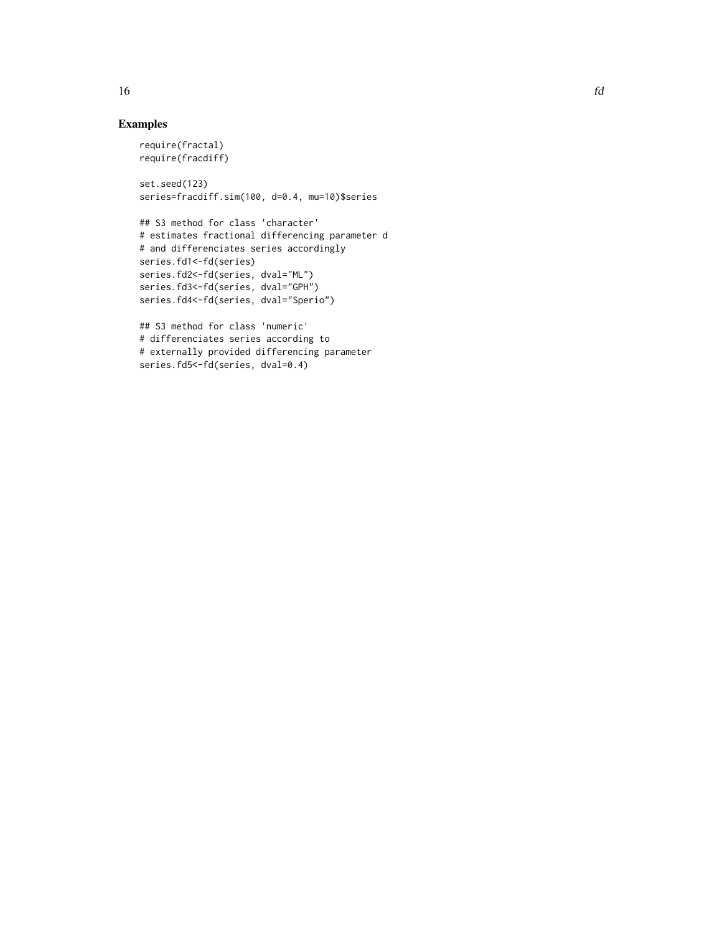## Examples

```
require(fractal)
require(fracdiff)
set.seed(123)
series=fracdiff.sim(100, d=0.4, mu=10)$series
## S3 method for class 'character'
# estimates fractional differencing parameter d
# and differenciates series accordingly
series.fd1<-fd(series)
series.fd2<-fd(series, dval="ML")
series.fd3<-fd(series, dval="GPH")
series.fd4<-fd(series, dval="Sperio")
```

```
## S3 method for class 'numeric'
# differenciates series according to
# externally provided differencing parameter
series.fd5<-fd(series, dval=0.4)
```